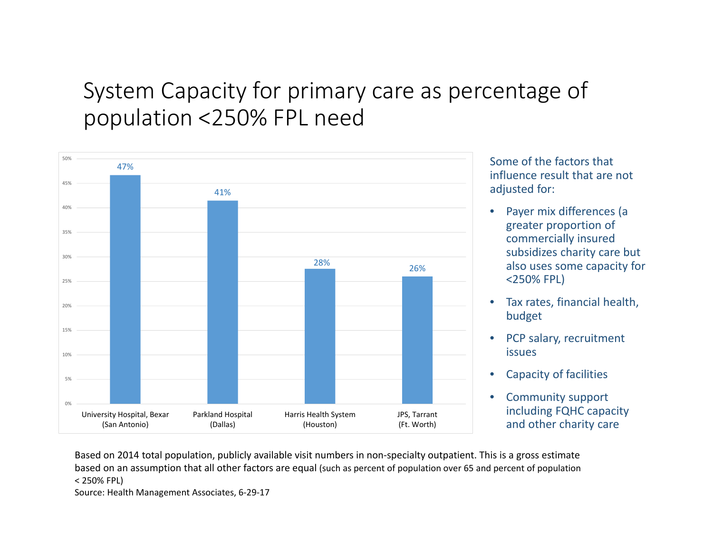## System Capacity for primary care as percentage of population <250% FPL need



Some of the factors that influence result that are not adjusted for:

- • Payer mix differences (a greater proportion of commercially insured subsidizes charity care but also uses some capacity for <250% FPL)
- $\bullet$  Tax rates, financial health, budget
- $\bullet$ • PCP salary, recruitment issues
- $\bullet$ Capacity of facilities
- $\bullet$  Community support including FQHC capacity and other charity care

Based on 2014 total population, publicly available visit numbers in non‐specialty outpatient. This is <sup>a</sup> gross estimate based on an assumption that all other factors are equal (such as percent of population over <sup>65</sup> and percent of population < 250% FPL)

Source: Health Management Associates, 6‐29‐17